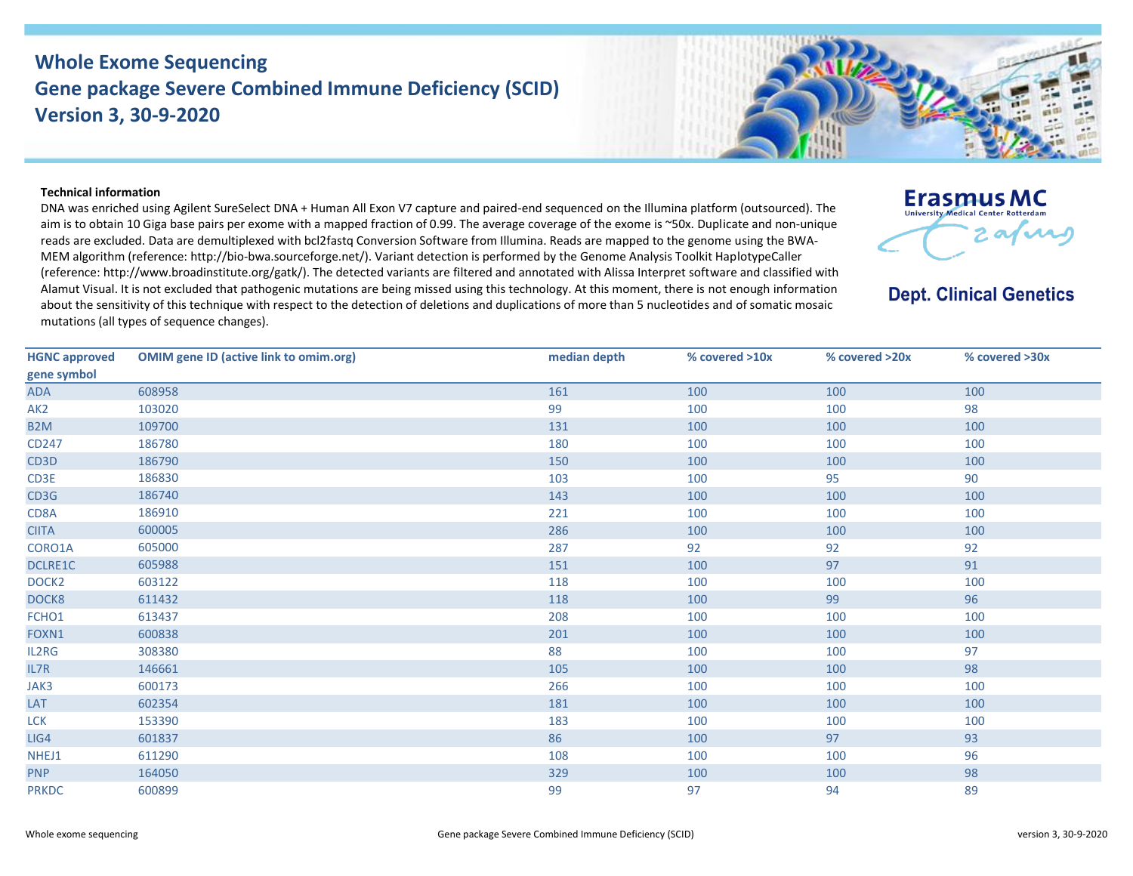## **Whole Exome Sequencing Gene package Severe Combined Immune Deficiency (SCID) Version 3, 30-9-2020**



## **Technical information**

DNA was enriched using Agilent SureSelect DNA + Human All Exon V7 capture and paired-end sequenced on the Illumina platform (outsourced). The aim is to obtain 10 Giga base pairs per exome with a mapped fraction of 0.99. The average coverage of the exome is ~50x. Duplicate and non-unique reads are excluded. Data are demultiplexed with bcl2fastq Conversion Software from Illumina. Reads are mapped to the genome using the BWA-MEM algorithm (reference: http://bio‐bwa.sourceforge.net/). Variant detection is performed by the Genome Analysis Toolkit HaplotypeCaller (reference: http://www.broadinstitute.org/gatk/). The detected variants are filtered and annotated with Alissa Interpret software and classified with Alamut Visual. It is not excluded that pathogenic mutations are being missed using this technology. At this moment, there is not enough information about the sensitivity of this technique with respect to the detection of deletions and duplications of more than 5 nucleotides and of somatic mosaic mutations (all types of sequence changes).



**Dept. Clinical Genetics** 

| <b>HGNC approved</b> | <b>OMIM gene ID (active link to omim.org)</b> | median depth | % covered >10x | % covered >20x | % covered >30x |
|----------------------|-----------------------------------------------|--------------|----------------|----------------|----------------|
| gene symbol          |                                               |              |                |                |                |
| ADA                  | 608958                                        | 161          | 100            | 100            | 100            |
| AK <sub>2</sub>      | 103020                                        | 99           | 100            | 100            | 98             |
| B <sub>2</sub> M     | 109700                                        | 131          | 100            | 100            | 100            |
| CD247                | 186780                                        | 180          | 100            | 100            | 100            |
| CD <sub>3</sub> D    | 186790                                        | 150          | 100            | 100            | 100            |
| CD3E                 | 186830                                        | 103          | 100            | 95             | 90             |
| CD3G                 | 186740                                        | 143          | 100            | 100            | 100            |
| CD8A                 | 186910                                        | 221          | 100            | 100            | 100            |
| <b>CIITA</b>         | 600005                                        | 286          | 100            | 100            | 100            |
| CORO1A               | 605000                                        | 287          | 92             | 92             | 92             |
| <b>DCLRE1C</b>       | 605988                                        | 151          | 100            | 97             | 91             |
| DOCK <sub>2</sub>    | 603122                                        | 118          | 100            | 100            | 100            |
| DOCK8                | 611432                                        | 118          | 100            | 99             | 96             |
| FCHO1                | 613437                                        | 208          | 100            | 100            | 100            |
| FOXN1                | 600838                                        | 201          | 100            | 100            | 100            |
| IL2RG                | 308380                                        | 88           | 100            | 100            | 97             |
| IL7R                 | 146661                                        | 105          | 100            | 100            | 98             |
| JAK3                 | 600173                                        | 266          | 100            | 100            | 100            |
| LAT                  | 602354                                        | 181          | 100            | 100            | 100            |
| <b>LCK</b>           | 153390                                        | 183          | 100            | 100            | 100            |
| LIG4                 | 601837                                        | 86           | 100            | 97             | 93             |
| NHEJ1                | 611290                                        | 108          | 100            | 100            | 96             |
| <b>PNP</b>           | 164050                                        | 329          | 100            | 100            | 98             |
| <b>PRKDC</b>         | 600899                                        | 99           | 97             | 94             | 89             |